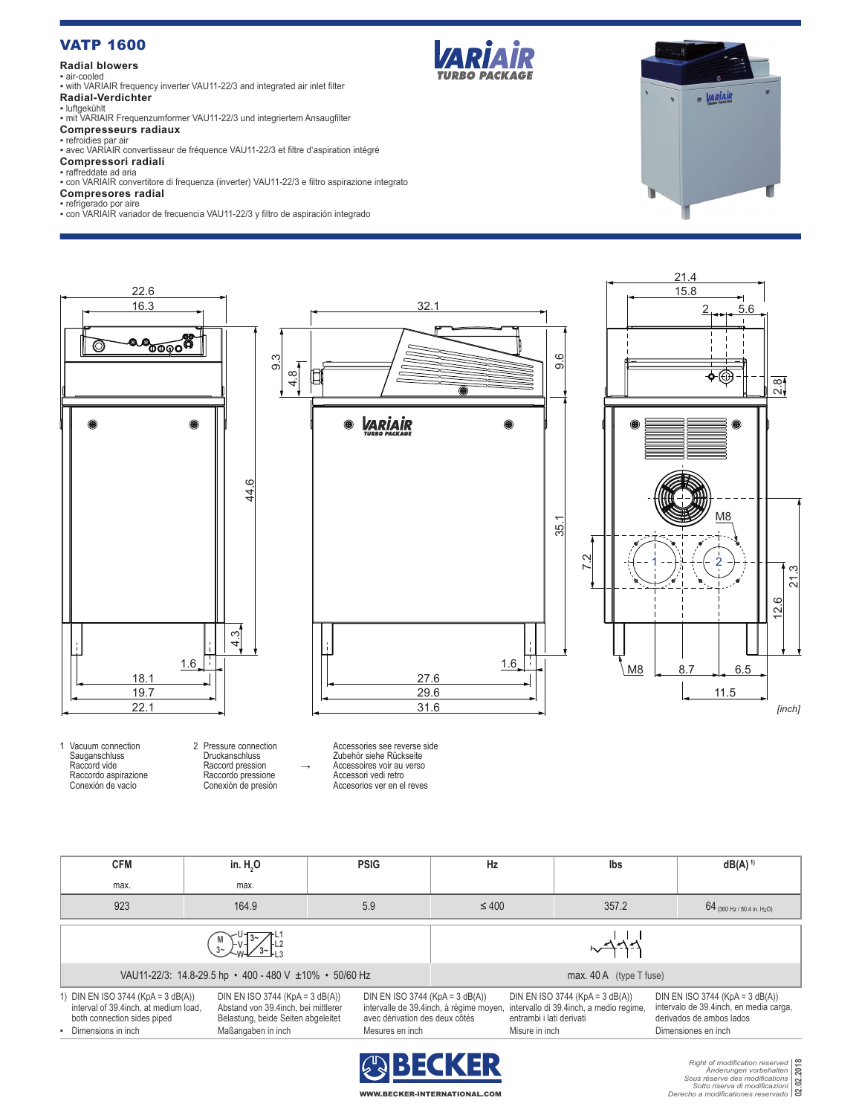# VATP 1600

## **Radial blowers**

▪ air-cooled ▪ with VARIAIR frequency inverter VAU11-22/3 and integrated air inlet filter

#### **Radial-Verdichter**

- luftgekühlt
- mit VARIAIR Frequenzumformer VAU11-22/3 und integriertem Ansaugfilter

## **Compresseurs radiaux**

▪ refroidies par air<br>▪ avec VARIAIR convertisseur de fréquence VAU11-22/3 et filtre d'aspiration intégré

### **Compressori radiali**

▪ raffreddate ad aria<br>▪ con VARIAIR convertitore di frequenza (inverter) VAU11-22/3 e filtro aspirazione integrato

#### **Compresores radial**

▪ refrigerado por aire<br>▪ con VARIAIR variador de frecuencia VAU11-22/3 y filtro de aspiración integrado







| <b>CFM</b>                                                                                                                                                                                                                                                                                              | in. $H2O$                         | <b>PSIG</b>                             | Hz                       |                                                                              | Ibs                                                                                                     | $dB(A)^{1}$                             |
|---------------------------------------------------------------------------------------------------------------------------------------------------------------------------------------------------------------------------------------------------------------------------------------------------------|-----------------------------------|-----------------------------------------|--------------------------|------------------------------------------------------------------------------|---------------------------------------------------------------------------------------------------------|-----------------------------------------|
| max.                                                                                                                                                                                                                                                                                                    | max.                              |                                         |                          |                                                                              |                                                                                                         |                                         |
| 923                                                                                                                                                                                                                                                                                                     | 164.9                             | 5.9                                     | $\leq 400$               |                                                                              | 357.2                                                                                                   | 64 (360 Hz / 80.4 in. H <sub>2</sub> O) |
|                                                                                                                                                                                                                                                                                                         |                                   |                                         |                          |                                                                              |                                                                                                         |                                         |
| VAU11-22/3: 14.8-29.5 hp • 400 - 480 V ±10% • 50/60 Hz                                                                                                                                                                                                                                                  | max. $40 \text{ A}$ (type T fuse) |                                         |                          |                                                                              |                                                                                                         |                                         |
| 1) DIN EN ISO 3744 (KpA = $3 dB(A)$ )<br>DIN EN ISO 3744 (KpA = $3$ dB(A))<br>DIN EN ISO 3744 (KpA = $3$ dB(A))<br>Abstand von 39.4inch, bei mittlerer<br>interval of 39.4 inch. at medium load.<br>Belastung, beide Seiten abgeleitet<br>avec dérivation des deux côtés<br>both connection sides piped |                                   | intervalle de 39.4inch, à régime moyen, | entrambi i lati derivati | DIN EN ISO 3744 (KpA = $3$ dB(A))<br>intervallo di 39.4inch, a medio regime, | DIN EN ISO 3744 (KpA = $3$ dB(A))<br>intervalo de 39.4inch, en media carga,<br>derivados de ambos lados |                                         |
| Maßangaben in inch<br>- Dimensions in inch<br>Mesures en inch                                                                                                                                                                                                                                           |                                   |                                         | Misure in inch           |                                                                              | Dimensiones en inch                                                                                     |                                         |
|                                                                                                                                                                                                                                                                                                         |                                   |                                         |                          |                                                                              |                                                                                                         |                                         |



*Right of modification reserved Änderungen vorbehalten Sous réserve des modifications Sotto riserva di modificazioni Derecho a modificationes reservado* **02.02.2018**